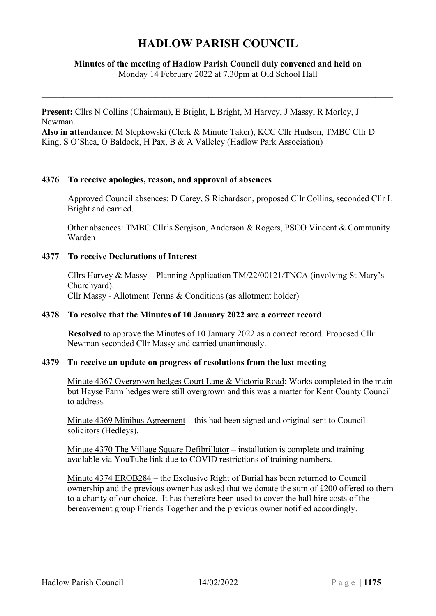# **HADLOW PARISH COUNCIL**

## **Minutes of the meeting of Hadlow Parish Council duly convened and held on** Monday 14 February 2022 at 7.30pm at Old School Hall

**Present:** Cllrs N Collins (Chairman), E Bright, L Bright, M Harvey, J Massy, R Morley, J Newman.

**Also in attendance**: M Stepkowski (Clerk & Minute Taker), KCC Cllr Hudson, TMBC Cllr D King, S O'Shea, O Baldock, H Pax, B & A Valleley (Hadlow Park Association)

#### **4376 To receive apologies, reason, and approval of absences**

Approved Council absences: D Carey, S Richardson, proposed Cllr Collins, seconded Cllr L Bright and carried.

Other absences: TMBC Cllr's Sergison, Anderson & Rogers, PSCO Vincent & Community Warden

#### **4377 To receive Declarations of Interest**

Cllrs Harvey & Massy – Planning Application TM/22/00121/TNCA (involving St Mary's Churchyard). Cllr Massy - Allotment Terms & Conditions (as allotment holder)

#### **4378 To resolve that the Minutes of 10 January 2022 are a correct record**

**Resolved** to approve the Minutes of 10 January 2022 as a correct record. Proposed Cllr Newman seconded Cllr Massy and carried unanimously.

#### **4379 To receive an update on progress of resolutions from the last meeting**

Minute 4367 Overgrown hedges Court Lane & Victoria Road: Works completed in the main but Hayse Farm hedges were still overgrown and this was a matter for Kent County Council to address.

Minute 4369 Minibus Agreement – this had been signed and original sent to Council solicitors (Hedleys).

Minute 4370 The Village Square Defibrillator – installation is complete and training available via YouTube link due to COVID restrictions of training numbers.

Minute 4374 EROB284 – the Exclusive Right of Burial has been returned to Council ownership and the previous owner has asked that we donate the sum of £200 offered to them to a charity of our choice. It has therefore been used to cover the hall hire costs of the bereavement group Friends Together and the previous owner notified accordingly.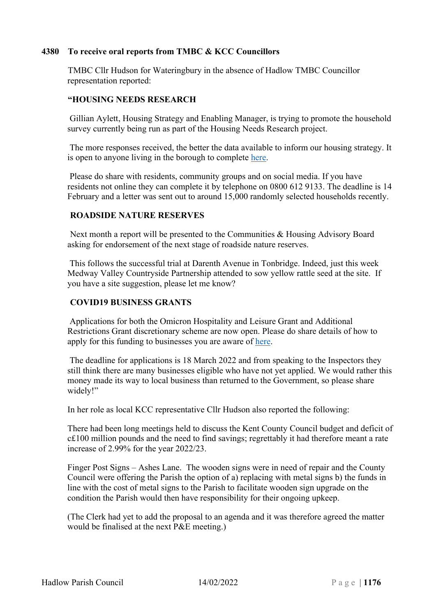# **4380 To receive oral reports from TMBC & KCC Councillors**

TMBC Cllr Hudson for Wateringbury in the absence of Hadlow TMBC Councillor representation reported:

# **"HOUSING NEEDS RESEARCH**

Gillian Aylett, Housing Strategy and Enabling Manager, is trying to promote the household survey currently being run as part of the Housing Needs Research project.

The more responses received, the better the data available to inform our housing strategy. It is open to anyone living in the borough to complete [here.](https://app.keysurvey.co.uk/f/41556883/f748/)

Please do share with residents, community groups and on social media. If you have residents not online they can complete it by telephone on 0800 612 9133. The deadline is 14 February and a letter was sent out to around 15,000 randomly selected households recently.

# **ROADSIDE NATURE RESERVES**

Next month a report will be presented to the Communities & Housing Advisory Board asking for endorsement of the next stage of roadside nature reserves.

This follows the successful trial at Darenth Avenue in Tonbridge. Indeed, just this week Medway Valley Countryside Partnership attended to sow yellow rattle seed at the site. If you have a site suggestion, please let me know?

# **COVID19 BUSINESS GRANTS**

Applications for both the Omicron Hospitality and Leisure Grant and Additional Restrictions Grant discretionary scheme are now open. Please do share details of how to apply for this funding to businesses you are aware of [here.](https://www.tmbc.gov.uk/business/apply-business-grant)

The deadline for applications is 18 March 2022 and from speaking to the Inspectors they still think there are many businesses eligible who have not yet applied. We would rather this money made its way to local business than returned to the Government, so please share widely!"

In her role as local KCC representative Cllr Hudson also reported the following:

There had been long meetings held to discuss the Kent County Council budget and deficit of c£100 million pounds and the need to find savings; regrettably it had therefore meant a rate increase of 2.99% for the year 2022/23.

Finger Post Signs – Ashes Lane. The wooden signs were in need of repair and the County Council were offering the Parish the option of a) replacing with metal signs b) the funds in line with the cost of metal signs to the Parish to facilitate wooden sign upgrade on the condition the Parish would then have responsibility for their ongoing upkeep.

(The Clerk had yet to add the proposal to an agenda and it was therefore agreed the matter would be finalised at the next P&E meeting.)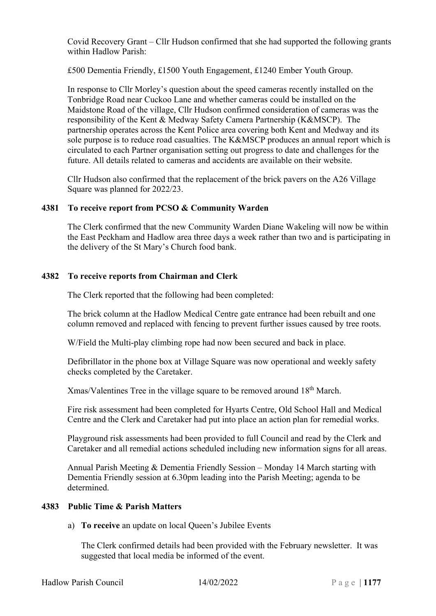Covid Recovery Grant – Cllr Hudson confirmed that she had supported the following grants within Hadlow Parish:

£500 Dementia Friendly, £1500 Youth Engagement, £1240 Ember Youth Group.

In response to Cllr Morley's question about the speed cameras recently installed on the Tonbridge Road near Cuckoo Lane and whether cameras could be installed on the Maidstone Road of the village, Cllr Hudson confirmed consideration of cameras was the responsibility of the Kent & Medway Safety Camera Partnership (K&MSCP). The partnership operates across the Kent Police area covering both Kent and Medway and its sole purpose is to reduce road casualties. The K&MSCP produces an annual report which is circulated to each Partner organisation setting out progress to date and challenges for the future. All details related to cameras and accidents are available on their website.

Cllr Hudson also confirmed that the replacement of the brick pavers on the A26 Village Square was planned for 2022/23.

# **4381 To receive report from PCSO & Community Warden**

The Clerk confirmed that the new Community Warden Diane Wakeling will now be within the East Peckham and Hadlow area three days a week rather than two and is participating in the delivery of the St Mary's Church food bank.

# **4382 To receive reports from Chairman and Clerk**

The Clerk reported that the following had been completed:

The brick column at the Hadlow Medical Centre gate entrance had been rebuilt and one column removed and replaced with fencing to prevent further issues caused by tree roots.

W/Field the Multi-play climbing rope had now been secured and back in place.

Defibrillator in the phone box at Village Square was now operational and weekly safety checks completed by the Caretaker.

 $X$ mas/Valentines Tree in the village square to be removed around  $18<sup>th</sup>$  March.

Fire risk assessment had been completed for Hyarts Centre, Old School Hall and Medical Centre and the Clerk and Caretaker had put into place an action plan for remedial works.

Playground risk assessments had been provided to full Council and read by the Clerk and Caretaker and all remedial actions scheduled including new information signs for all areas.

Annual Parish Meeting & Dementia Friendly Session – Monday 14 March starting with Dementia Friendly session at 6.30pm leading into the Parish Meeting; agenda to be determined.

## **4383 Public Time & Parish Matters**

a) **To receive** an update on local Queen's Jubilee Events

The Clerk confirmed details had been provided with the February newsletter. It was suggested that local media be informed of the event.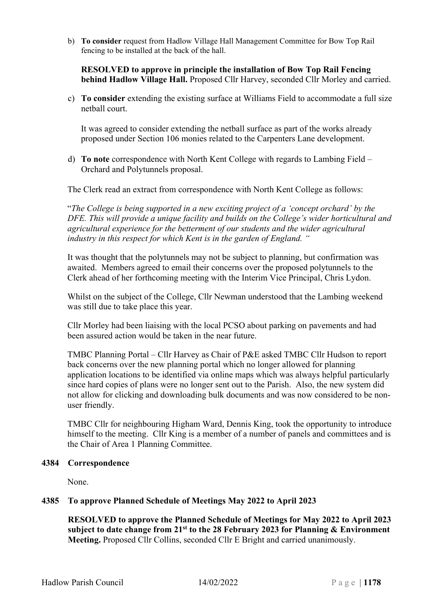b) **To consider** request from Hadlow Village Hall Management Committee for Bow Top Rail fencing to be installed at the back of the hall.

**RESOLVED to approve in principle the installation of Bow Top Rail Fencing behind Hadlow Village Hall.** Proposed Cllr Harvey, seconded Cllr Morley and carried.

c) **To consider** extending the existing surface at Williams Field to accommodate a full size netball court.

It was agreed to consider extending the netball surface as part of the works already proposed under Section 106 monies related to the Carpenters Lane development.

d) **To note** correspondence with North Kent College with regards to Lambing Field – Orchard and Polytunnels proposal.

The Clerk read an extract from correspondence with North Kent College as follows:

"*The College is being supported in a new exciting project of a 'concept orchard' by the DFE. This will provide a unique facility and builds on the College's wider horticultural and agricultural experience for the betterment of our students and the wider agricultural industry in this respect for which Kent is in the garden of England. "*

It was thought that the polytunnels may not be subject to planning, but confirmation was awaited. Members agreed to email their concerns over the proposed polytunnels to the Clerk ahead of her forthcoming meeting with the Interim Vice Principal, Chris Lydon.

Whilst on the subject of the College, Cllr Newman understood that the Lambing weekend was still due to take place this year.

Cllr Morley had been liaising with the local PCSO about parking on pavements and had been assured action would be taken in the near future.

TMBC Planning Portal – Cllr Harvey as Chair of P&E asked TMBC Cllr Hudson to report back concerns over the new planning portal which no longer allowed for planning application locations to be identified via online maps which was always helpful particularly since hard copies of plans were no longer sent out to the Parish. Also, the new system did not allow for clicking and downloading bulk documents and was now considered to be nonuser friendly.

TMBC Cllr for neighbouring Higham Ward, Dennis King, took the opportunity to introduce himself to the meeting. Cllr King is a member of a number of panels and committees and is the Chair of Area 1 Planning Committee.

## **4384 Correspondence**

None.

## **4385 To approve Planned Schedule of Meetings May 2022 to April 2023**

**RESOLVED to approve the Planned Schedule of Meetings for May 2022 to April 2023 subject to date change from 21st to the 28 February 2023 for Planning & Environment Meeting.** Proposed Cllr Collins, seconded Cllr E Bright and carried unanimously.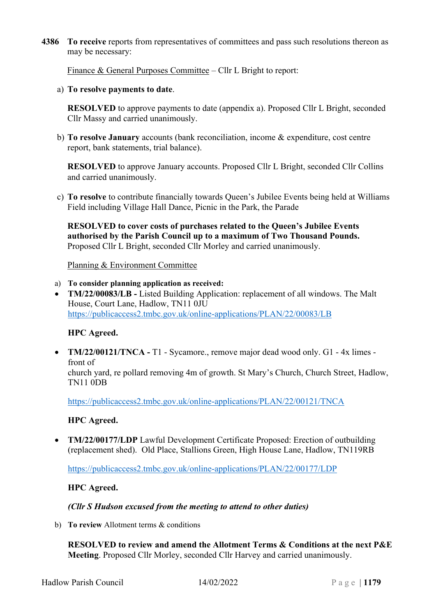**4386 To receive** reports from representatives of committees and pass such resolutions thereon as may be necessary:

Finance & General Purposes Committee – Cllr L Bright to report:

a) **To resolve payments to date**.

**RESOLVED** to approve payments to date (appendix a). Proposed Cllr L Bright, seconded Cllr Massy and carried unanimously.

b) **To resolve January** accounts (bank reconciliation, income & expenditure, cost centre report, bank statements, trial balance).

**RESOLVED** to approve January accounts. Proposed Cllr L Bright, seconded Cllr Collins and carried unanimously.

c) **To resolve** to contribute financially towards Queen's Jubilee Events being held at Williams Field including Village Hall Dance, Picnic in the Park, the Parade

**RESOLVED to cover costs of purchases related to the Queen's Jubilee Events authorised by the Parish Council up to a maximum of Two Thousand Pounds.**  Proposed Cllr L Bright, seconded Cllr Morley and carried unanimously.

Planning & Environment Committee

- a) **To consider planning application as received:**
- **TM/22/00083/LB -** Listed Building Application: replacement of all windows. The Malt House, Court Lane, Hadlow, TN11 0JU <https://publicaccess2.tmbc.gov.uk/online-applications/PLAN/22/00083/LB>

# **HPC Agreed.**

• **TM/22/00121/TNCA -** T1 - Sycamore., remove major dead wood only. G1 - 4x limes front of church yard, re pollard removing 4m of growth. St Mary's Church, Church Street, Hadlow, TN11 0DB

<https://publicaccess2.tmbc.gov.uk/online-applications/PLAN/22/00121/TNCA>

# **HPC Agreed.**

• **TM/22/00177/LDP** Lawful Development Certificate Proposed: Erection of outbuilding (replacement shed). Old Place, Stallions Green, High House Lane, Hadlow, TN119RB

<https://publicaccess2.tmbc.gov.uk/online-applications/PLAN/22/00177/LDP>

## **HPC Agreed.**

*(Cllr S Hudson excused from the meeting to attend to other duties)*

b) **To review** Allotment terms & conditions

**RESOLVED to review and amend the Allotment Terms & Conditions at the next P&E Meeting**. Proposed Cllr Morley, seconded Cllr Harvey and carried unanimously.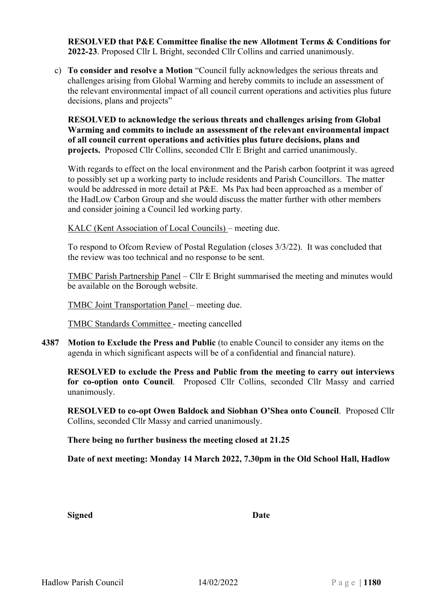**RESOLVED that P&E Committee finalise the new Allotment Terms & Conditions for 2022-23**. Proposed Cllr L Bright, seconded Cllr Collins and carried unanimously.

c) **To consider and resolve a Motion** "Council fully acknowledges the serious threats and challenges arising from Global Warming and hereby commits to include an assessment of the relevant environmental impact of all council current operations and activities plus future decisions, plans and projects"

**RESOLVED to acknowledge the serious threats and challenges arising from Global Warming and commits to include an assessment of the relevant environmental impact of all council current operations and activities plus future decisions, plans and projects.** Proposed Cllr Collins, seconded Cllr E Bright and carried unanimously.

With regards to effect on the local environment and the Parish carbon footprint it was agreed to possibly set up a working party to include residents and Parish Councillors. The matter would be addressed in more detail at P&E. Ms Pax had been approached as a member of the HadLow Carbon Group and she would discuss the matter further with other members and consider joining a Council led working party.

KALC (Kent Association of Local Councils) – meeting due.

To respond to Ofcom Review of Postal Regulation (closes 3/3/22). It was concluded that the review was too technical and no response to be sent.

TMBC Parish Partnership Panel – Cllr E Bright summarised the meeting and minutes would be available on the Borough website.

TMBC Joint Transportation Panel – meeting due.

TMBC Standards Committee - meeting cancelled

**4387 Motion to Exclude the Press and Public** (to enable Council to consider any items on the agenda in which significant aspects will be of a confidential and financial nature).

**RESOLVED to exclude the Press and Public from the meeting to carry out interviews for co-option onto Council**. Proposed Cllr Collins, seconded Cllr Massy and carried unanimously.

**RESOLVED to co-opt Owen Baldock and Siobhan O'Shea onto Council**. Proposed Cllr Collins, seconded Cllr Massy and carried unanimously.

**There being no further business the meeting closed at 21.25**

**Date of next meeting: Monday 14 March 2022, 7.30pm in the Old School Hall, Hadlow**

**Signed Date**